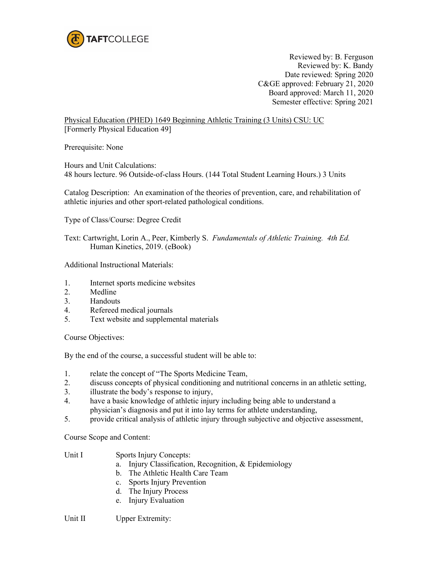

Reviewed by: B. Ferguson Reviewed by: K. Bandy Date reviewed: Spring 2020 C&GE approved: February 21, 2020 Board approved: March 11, 2020 Semester effective: Spring 2021

Physical Education (PHED) 1649 Beginning Athletic Training (3 Units) CSU: UC [Formerly Physical Education 49]

Prerequisite: None

Hours and Unit Calculations: 48 hours lecture. 96 Outside-of-class Hours. (144 Total Student Learning Hours.) 3 Units

Catalog Description: An examination of the theories of prevention, care, and rehabilitation of athletic injuries and other sport-related pathological conditions.

Type of Class/Course: Degree Credit

Text: Cartwright, Lorin A., Peer, Kimberly S. *Fundamentals of Athletic Training. 4th Ed.* Human Kinetics, 2019. (eBook)

Additional Instructional Materials:

- 1. Internet sports medicine websites
- 2. Medline
- 3. Handouts
- 4. Refereed medical journals
- 5. Text website and supplemental materials

Course Objectives:

By the end of the course, a successful student will be able to:

- 1. relate the concept of "The Sports Medicine Team,
- 2. discuss concepts of physical conditioning and nutritional concerns in an athletic setting,
- 3. illustrate the body's response to injury,
- 4. have a basic knowledge of athletic injury including being able to understand a physician's diagnosis and put it into lay terms for athlete understanding,
- 5. provide critical analysis of athletic injury through subjective and objective assessment,

Course Scope and Content:

## Unit I Sports Injury Concepts:

- a. Injury Classification, Recognition, & Epidemiology
- b. The Athletic Health Care Team
- c. Sports Injury Prevention
- d. The Injury Process
- e. Injury Evaluation

Unit II Upper Extremity: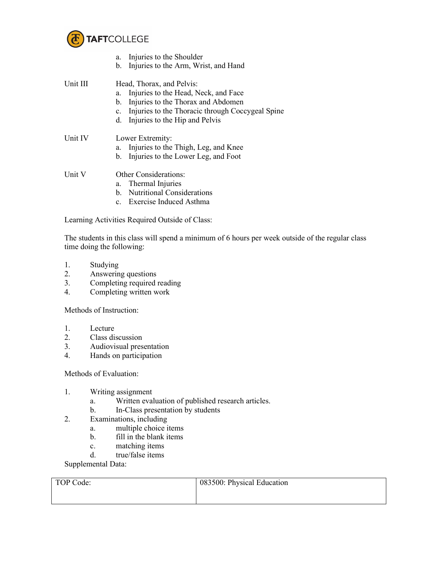

|          | Injuries to the Shoulder<br>a.                                     |  |  |
|----------|--------------------------------------------------------------------|--|--|
|          | Injuries to the Arm, Wrist, and Hand<br>b.                         |  |  |
| Unit III | Head, Thorax, and Pelvis:                                          |  |  |
|          | Injuries to the Head, Neck, and Face<br>a.                         |  |  |
|          | Injuries to the Thorax and Abdomen<br>b.                           |  |  |
|          | Injuries to the Thoracic through Coccygeal Spine<br>$\mathbf{c}$ . |  |  |
|          | Injuries to the Hip and Pelvis<br>d.                               |  |  |
| Unit IV  | Lower Extremity:                                                   |  |  |
|          | Injuries to the Thigh, Leg, and Knee<br>a.                         |  |  |
|          | Injuries to the Lower Leg, and Foot<br>b.                          |  |  |
| Unit V   | <b>Other Considerations:</b>                                       |  |  |
|          | a. Thermal Injuries                                                |  |  |
|          | b. Nutritional Considerations                                      |  |  |

c. Exercise Induced Asthma

Learning Activities Required Outside of Class:

The students in this class will spend a minimum of 6 hours per week outside of the regular class time doing the following:

- 1. Studying
- 2. Answering questions
- 3. Completing required reading
- 4. Completing written work

Methods of Instruction:

- 1. Lecture
- 2. Class discussion
- 3. Audiovisual presentation
- 4. Hands on participation

Methods of Evaluation:

- 1. Writing assignment
	- a. Written evaluation of published research articles.
	- b. In-Class presentation by students
- 2. Examinations, including
	- a. multiple choice items
	- b. fill in the blank items
	- c. matching items
	- d. true/false items

Supplemental Data:

| TOP Code: | 083500: Physical Education |
|-----------|----------------------------|
|           |                            |